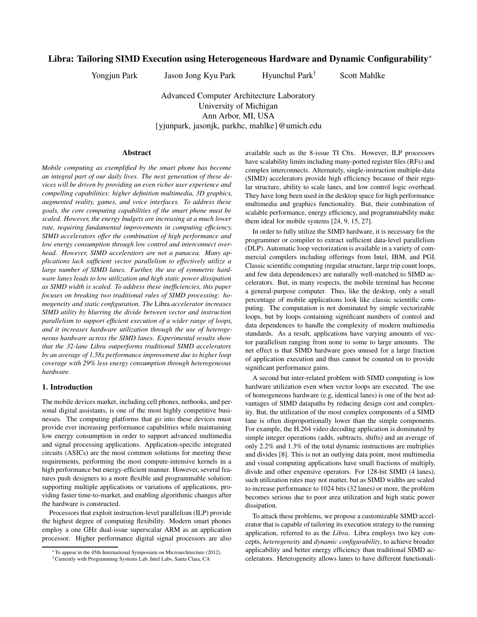# **Libra: Tailoring SIMD Execution using Heterogeneous Hardware and Dynamic Configurability**<sup>∗</sup>

Yongjun Park Jason Jong Kyu Park Hyunchul Park† Scott Mahlke

Advanced Computer Architecture Laboratory University of Michigan Ann Arbor, MI, USA {yjunpark, jasonjk, parkhc, mahlke}@umich.edu

## **Abstract**

*Mobile computing as exemplified by the smart phone has become an integral part of our daily lives. The next generation of these devices will be driven by providing an even richer user experience and compelling capabilities: higher definition multimedia, 3D graphics, augmented reality, games, and voice interfaces. To address these goals, the core computing capabilities of the smart phone must be scaled. However, the energy budgets are increasing at a much lower rate, requiring fundamental improvements in computing efficiency. SIMD accelerators offer the combination of high performance and low energy consumption through low control and interconnect overhead. However, SIMD accelerators are not a panacea. Many applications lack sufficient vector parallelism to effectively utilize a large number of SIMD lanes. Further, the use of symmetric hardware lanes leads to low utilization and high static power dissipation as SIMD width is scaled. To address these inefficiencies, this paper focuses on breaking two traditional rules of SIMD processing: homogeneity and static configuration. The* Libra *accelerator increases SIMD utility by blurring the divide between vector and instruction parallelism to support efficient execution of a wider range of loops, and it increases hardware utilization through the use of heterogeneous hardware across the SIMD lanes. Experimental results show that the 32-lane Libra outperforms traditional SIMD accelerators by an average of 1.58x performance improvement due to higher loop coverage with 29% less energy consumption through heterogeneous hardware.*

## **1. Introduction**

The mobile devices market, including cell phones, netbooks, and personal digital assistants, is one of the most highly competitive businesses. The computing platforms that go into these devices must provide ever increasing performance capabilities while maintaining low energy consumption in order to support advanced multimedia and signal processing applications. Application-specific integrated circuits (ASICs) are the most common solutions for meeting these requirements, performing the most compute-intensive kernels in a high performance but energy-efficient manner. However, several features push designers to a more flexible and programmable solution: supporting multiple applications or variations of applications, providing faster time-to-market, and enabling algorithmic changes after the hardware is constructed.

Processors that exploit instruction-level parallelism (ILP) provide the highest degree of computing flexibility. Modern smart phones employ a one GHz dual-issue superscalar ARM as an application processor. Higher performance digital signal processors are also available such as the 8-issue TI C6x. However, ILP processors have scalability limits including many-ported register files (RFs) and complex interconnects. Alternately, single-instruction multiple-data (SIMD) accelerators provide high efficiency because of their regular structure, ability to scale lanes, and low control logic overhead. They have long been used in the desktop space for high performance multimedia and graphics functionality. But, their combination of scalable performance, energy efficiency, and programmability make them ideal for mobile systems [24, 9, 15, 27].

In order to fully utilize the SIMD hardware, it is necessary for the programmer or compiler to extract sufficient data-level parallelism (DLP). Automatic loop vectorization is available in a variety of commercial compilers including offerings from Intel, IBM, and PGI. Classic scientific computing (regular structure, large trip count loops, and few data dependences) are naturally well-matched to SIMD accelerators. But, in many respects, the mobile terminal has become a general-purpose computer. Thus, like the desktop, only a small percentage of mobile applications look like classic scientific computing. The computation is not dominated by simple vectorizable loops, but by loops containing significant numbers of control and data dependences to handle the complexity of modern multimedia standards. As a result, applications have varying amounts of vector parallelism ranging from none to some to large amounts. The net effect is that SIMD hardware goes unused for a large fraction of application execution and thus cannot be counted on to provide significant performance gains.

A second but inter-related problem with SIMD computing is low hardware utilization even when vector loops are executed. The use of homogeneous hardware (e.g, identical lanes) is one of the best advantages of SIMD datapaths by reducing design cost and complexity. But, the utilization of the most complex components of a SIMD lane is often disproportionally lower than the simple components. For example, the H.264 video decoding application is dominated by simple integer operations (adds, subtracts, shifts) and an average of only 2.2% and 1.3% of the total dynamic instructions are multiplies and divides [8]. This is not an outlying data point, most multimedia and visual computing applications have small fractions of multiply, divide and other expensive operators. For 128-bit SIMD (4 lanes), such utilization rates may not matter, but as SIMD widths are scaled to increase performance to 1024 bits (32 lanes) or more, the problem becomes serious due to poor area utilization and high static power dissipation.

To attack these problems, we propose a customizable SIMD accelerator that is capable of tailoring its execution strategy to the running application, referred to as the *Libra*. Libra employs two key concepts, *heterogeneity* and *dynamic configurability*, to achieve broader applicability and better energy efficiency than traditional SIMD accelerators. Heterogeneity allows lanes to have different functionali-

<sup>∗</sup>To appear in the 45th International Symposium on Microarchitecture (2012).

<sup>†</sup>Currently with Programming Systems Lab, Intel Labs, Santa Clara, CA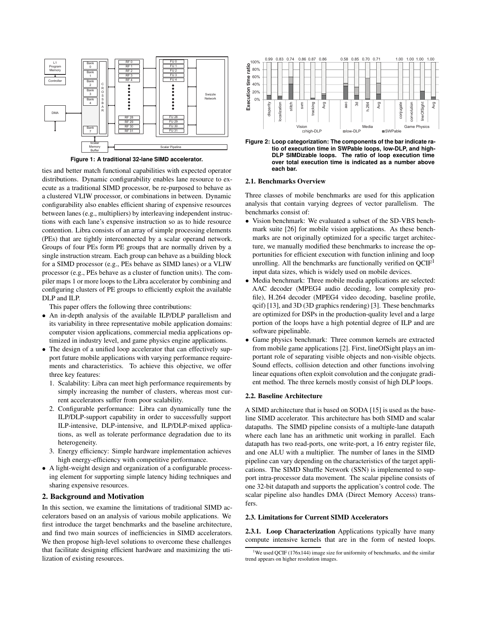

**Figure 1: A traditional 32-lane SIMD accelerator.**

ties and better match functional capabilities with expected operator distributions. Dynamic configurability enables lane resource to execute as a traditional SIMD processor, be re-purposed to behave as a clustered VLIW processor, or combinations in between. Dynamic configurability also enables efficient sharing of expensive resources between lanes (e.g., multipliers) by interleaving independent instructions with each lane's expensive instruction so as to hide resource contention. Libra consists of an array of simple processing elements (PEs) that are tightly interconnected by a scalar operand network. Groups of four PEs form PE groups that are normally driven by a single instruction stream. Each group can behave as a building block for a SIMD processor (e.g., PEs behave as SIMD lanes) or a VLIW processor (e.g., PEs behave as a cluster of function units). The compiler maps 1 or more loops to the Libra accelerator by combining and configuring clusters of PE groups to efficiently exploit the available DLP and ILP.

This paper offers the following three contributions:

- An in-depth analysis of the available ILP/DLP parallelism and its variability in three representative mobile application domains: computer vision applications, commercial media applications optimized in industry level, and game physics engine applications.
- The design of a unified loop accelerator that can effectively support future mobile applications with varying performance requirements and characteristics. To achieve this objective, we offer three key features:
	- 1. Scalability: Libra can meet high performance requirements by simply increasing the number of clusters, whereas most current accelerators suffer from poor scalability.
	- 2. Configurable performance: Libra can dynamically tune the ILP/DLP-support capability in order to successfully support ILP-intensive, DLP-intensive, and ILP/DLP-mixed applications, as well as tolerate performance degradation due to its heterogeneity.
	- 3. Energy efficiency: Simple hardware implementation achieves high energy-efficiency with competitive performance.
- A light-weight design and organization of a configurable processing element for supporting simple latency hiding techniques and sharing expensive resources.

## **2. Background and Motivation**

In this section, we examine the limitations of traditional SIMD accelerators based on an analysis of various mobile applications. We first introduce the target benchmarks and the baseline architecture, and find two main sources of inefficiencies in SIMD accelerators. We then propose high-level solutions to overcome these challenges that facilitate designing efficient hardware and maximizing the utilization of existing resources.



**Figure 2: Loop categorization: The components of the bar indicate ratio of execution time in SWPable loops, low-DLP, and high-DLP SIMDizable loops. The ratio of loop execution time over total execution time is indicated as a number above each bar.**

#### **2.1. Benchmarks Overview**

Three classes of mobile benchmarks are used for this application analysis that contain varying degrees of vector parallelism. The benchmarks consist of:

- Vision benchmark: We evaluated a subset of the SD-VBS benchmark suite [26] for mobile vision applications. As these benchmarks are not originally optimized for a specific target architecture, we manually modified these benchmarks to increase the opportunities for efficient execution with function inlining and loop unrolling. All the benchmarks are functionally verified on  $QCIF<sup>1</sup>$ input data sizes, which is widely used on mobile devices.
- Media benchmark: Three mobile media applications are selected: AAC decoder (MPEG4 audio decoding, low complexity profile), H.264 decoder (MPEG4 video decoding, baseline profile, qcif) [13], and 3D (3D graphics rendering) [3]. These benchmarks are optimized for DSPs in the production-quality level and a large portion of the loops have a high potential degree of ILP and are software pipelinable.
- Game physics benchmark: Three common kernels are extracted from mobile game applications [2]. First, lineOfSight plays an important role of separating visible objects and non-visible objects. Sound effects, collision detection and other functions involving linear equations often exploit convolution and the conjugate gradient method. The three kernels mostly consist of high DLP loops.

#### **2.2. Baseline Architecture**

A SIMD architecture that is based on SODA [15] is used as the baseline SIMD accelerator. This architecture has both SIMD and scalar datapaths. The SIMD pipeline consists of a multiple-lane datapath where each lane has an arithmetic unit working in parallel. Each datapath has two read-ports, one write-port, a 16 entry register file, and one ALU with a multiplier. The number of lanes in the SIMD pipeline can vary depending on the characteristics of the target applications. The SIMD Shuffle Network (SSN) is implemented to support intra-processor data movement. The scalar pipeline consists of one 32-bit datapath and supports the application's control code. The scalar pipeline also handles DMA (Direct Memory Access) transfers.

#### **2.3. Limitations for Current SIMD Accelerators**

**2.3.1. Loop Characterization** Applications typically have many compute intensive kernels that are in the form of nested loops.

<sup>&</sup>lt;sup>1</sup>We used QCIF (176x144) image size for uniformity of benchmarks, and the similar trend appears on higher resolution images.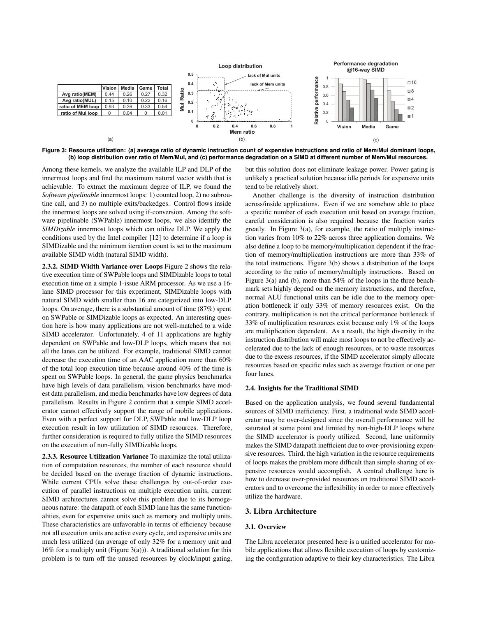

**Figure 3: Resource utilization: (a) average ratio of dynamic instruction count of expensive instructions and ratio of Mem/Mul dominant loops, (b) loop distribution over ratio of Mem/Mul, and (c) performance degradation on a SIMD at different number of Mem/Mul resources.**

Among these kernels, we analyze the available ILP and DLP of the innermost loops and find the maximum natural vector width that is achievable. To extract the maximum degree of ILP, we found the *Software pipelinable* innermost loops: 1) counted loop, 2) no subroutine call, and 3) no multiple exits/backedges. Control flows inside the innermost loops are solved using if-conversion. Among the software pipelinable (SWPable) innermost loops, we also identify the *SIMDizable* innermost loops which can utilize DLP. We apply the conditions used by the Intel compiler [12] to determine if a loop is SIMDizable and the minimum iteration count is set to the maximum available SIMD width (natural SIMD width).

**2.3.2. SIMD Width Variance over Loops** Figure 2 shows the relative execution time of SWPable loops and SIMDizable loops to total execution time on a simple 1-issue ARM processor. As we use a 16 lane SIMD processor for this experiment, SIMDizable loops with natural SIMD width smaller than 16 are categorized into low-DLP loops. On average, there is a substantial amount of time (87%) spent on SWPable or SIMDizable loops as expected. An interesting question here is how many applications are not well-matched to a wide SIMD accelerator. Unfortunately, 4 of 11 applications are highly dependent on SWPable and low-DLP loops, which means that not all the lanes can be utilized. For example, traditional SIMD cannot decrease the execution time of an AAC application more than 60% of the total loop execution time because around 40% of the time is spent on SWPable loops. In general, the game physics benchmarks have high levels of data parallelism, vision benchmarks have modest data parallelism, and media benchmarks have low degrees of data parallelism. Results in Figure 2 confirm that a simple SIMD accelerator cannot effectively support the range of mobile applications. Even with a perfect support for DLP, SWPable and low-DLP loop execution result in low utilization of SIMD resources. Therefore, further consideration is required to fully utilize the SIMD resources on the execution of non-fully SIMDizable loops.

**2.3.3. Resource Utilization Variance** To maximize the total utilization of computation resources, the number of each resource should be decided based on the average fraction of dynamic instructions. While current CPUs solve these challenges by out-of-order execution of parallel instructions on multiple execution units, current SIMD architectures cannot solve this problem due to its homogeneous nature: the datapath of each SIMD lane has the same functionalities, even for expensive units such as memory and multiply units. These characteristics are unfavorable in terms of efficiency because not all execution units are active every cycle, and expensive units are much less utilized (an average of only 32% for a memory unit and 16% for a multiply unit (Figure 3(a))). A traditional solution for this problem is to turn off the unused resources by clock/input gating,

but this solution does not eliminate leakage power. Power gating is unlikely a practical solution because idle periods for expensive units tend to be relatively short.

Another challenge is the diversity of instruction distribution across/inside applications. Even if we are somehow able to place a specific number of each execution unit based on average fraction, careful consideration is also required because the fraction varies greatly. In Figure 3(a), for example, the ratio of multiply instruction varies from 10% to 22% across three application domains. We also define a loop to be memory/multiplication dependent if the fraction of memory/multiplication instructions are more than 33% of the total instructions. Figure 3(b) shows a distribution of the loops according to the ratio of memory/multiply instructions. Based on Figure 3(a) and (b), more than 54% of the loops in the three benchmark sets highly depend on the memory instructions, and therefore, normal ALU functional units can be idle due to the memory operation bottleneck if only 33% of memory resources exist. On the contrary, multiplication is not the critical performance bottleneck if 33% of multiplication resources exist because only 1% of the loops are multiplication dependent. As a result, the high diversity in the instruction distribution will make most loops to not be effectively accelerated due to the lack of enough resources, or to waste resources due to the excess resources, if the SIMD accelerator simply allocate resources based on specific rules such as average fraction or one per four lanes.

### **2.4. Insights for the Traditional SIMD**

Based on the application analysis, we found several fundamental sources of SIMD inefficiency. First, a traditional wide SIMD accelerator may be over-designed since the overall performance will be saturated at some point and limited by non-high-DLP loops where the SIMD accelerator is poorly utilized. Second, lane uniformity makes the SIMD datapath inefficient due to over-provisioning expensive resources. Third, the high variation in the resource requirements of loops makes the problem more difficult than simple sharing of expensive resources would accomplish. A central challenge here is how to decrease over-provided resources on traditional SIMD accelerators and to overcome the inflexibility in order to more effectively utilize the hardware.

### **3. Libra Architecture**

## **3.1. Overview**

The Libra accelerator presented here is a unified accelerator for mobile applications that allows flexible execution of loops by customizing the configuration adaptive to their key characteristics. The Libra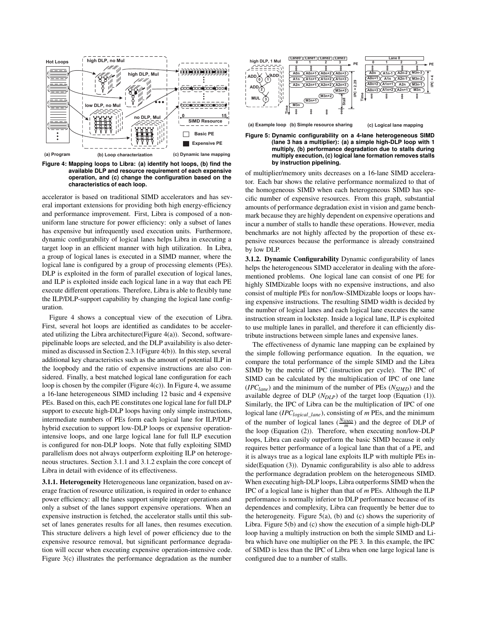

**Figure 4: Mapping loops to Libra: (a) identify hot loops, (b) find the available DLP and resource requirement of each expensive operation, and (c) change the configuration based on the characteristics of each loop.**

accelerator is based on traditional SIMD accelerators and has several important extensions for providing both high energy-efficiency and performance improvement. First, Libra is composed of a nonuniform lane structure for power efficiency: only a subset of lanes has expensive but infrequently used execution units. Furthermore, dynamic configurability of logical lanes helps Libra in executing a target loop in an efficient manner with high utilization. In Libra, a group of logical lanes is executed in a SIMD manner, where the logical lane is configured by a group of processing elements (PEs). DLP is exploited in the form of parallel execution of logical lanes, and ILP is exploited inside each logical lane in a way that each PE execute different operations. Therefore, Libra is able to flexibly tune the ILP/DLP-support capability by changing the logical lane configuration.

Figure 4 shows a conceptual view of the execution of Libra. First, several hot loops are identified as candidates to be accelerated utilizing the Libra architecture(Figure 4(a)). Second, softwarepipelinable loops are selected, and the DLP availability is also determined as discussed in Section 2.3.1(Figure 4(b)). In this step, several additional key characteristics such as the amount of potential ILP in the loopbody and the ratio of expensive instructions are also considered. Finally, a best matched logical lane configuration for each loop is chosen by the compiler (Figure 4(c)). In Figure 4, we assume a 16-lane heterogeneous SIMD including 12 basic and 4 expensive PEs. Based on this, each PE constitutes one logical lane for full DLP support to execute high-DLP loops having only simple instructions, intermediate numbers of PEs form each logical lane for ILP/DLP hybrid execution to support low-DLP loops or expensive operationintensive loops, and one large logical lane for full ILP execution is configured for non-DLP loops. Note that fully exploiting SIMD parallelism does not always outperform exploiting ILP on heterogeneous structures. Section 3.1.1 and 3.1.2 explain the core concept of Libra in detail with evidence of its effectiveness.

**3.1.1. Heterogeneity** Heterogeneous lane organization, based on average fraction of resource utilization, is required in order to enhance power efficiency: all the lanes support simple integer operations and only a subset of the lanes support expensive operations. When an expensive instruction is fetched, the accelerator stalls until this subset of lanes generates results for all lanes, then resumes execution. This structure delivers a high level of power efficiency due to the expensive resource removal, but significant performance degradation will occur when executing expensive operation-intensive code. Figure 3(c) illustrates the performance degradation as the number



**multiply, (b) performance degradation due to stalls during multiply execution, (c) logical lane formation removes stalls by instruction pipelining.**

of multiplier/memory units decreases on a 16-lane SIMD accelerator. Each bar shows the relative performance normalized to that of the homogeneous SIMD when each heterogeneous SIMD has specific number of expensive resources. From this graph, substantial amounts of performance degradation exist in vision and game benchmark because they are highly dependent on expensive operations and incur a number of stalls to handle these operations. However, media benchmarks are not highly affected by the proportion of these expensive resources because the performance is already constrained by low DLP.

**3.1.2. Dynamic Configurability** Dynamic configurability of lanes helps the heterogeneous SIMD accelerator in dealing with the aforementioned problems. One logical lane can consist of one PE for highly SIMDizable loops with no expensive instructions, and also consist of multiple PEs for non/low-SIMDizable loops or loops having expensive instructions. The resulting SIMD width is decided by the number of logical lanes and each logical lane executes the same instruction stream in lockstep. Inside a logical lane, ILP is exploited to use multiple lanes in parallel, and therefore it can efficiently distribute instructions between simple lanes and expensive lanes.

The effectiveness of dynamic lane mapping can be explained by the simple following performance equation. In the equation, we compare the total performance of the simple SIMD and the Libra SIMD by the metric of IPC (instruction per cycle). The IPC of SIMD can be calculated by the multiplication of IPC of one lane (*IPClane*) and the minimum of the number of PEs (*NSIMD*) and the available degree of DLP (*N<sub>DLP</sub>*) of the target loop (Equation (1)). Similarly, the IPC of Libra can be the multiplication of IPC of one logical lane (*IPClogical*\_*lane*), consisting of *m* PEs, and the minimum of the number of logical lanes  $(\frac{N_{SIMD}}{m})$  and the degree of DLP of the loop (Equation (2)). Therefore, when executing non/low-DLP loops, Libra can easily outperform the basic SIMD because it only requires better performance of a logical lane than that of a PE, and it is always true as a logical lane exploits ILP with multiple PEs inside(Equation (3)). Dynamic configurability is also able to address the performance degradation problem on the heterogeneous SIMD. When executing high-DLP loops, Libra outperforms SIMD when the IPC of a logical lane is higher than that of *m* PEs. Although the ILP performance is normally inferior to DLP performance because of its dependences and complexity, Libra can frequently be better due to the heterogeneity. Figure  $5(a)$ , (b) and (c) shows the superiority of Libra. Figure 5(b) and (c) show the execution of a simple high-DLP loop having a multiply instruction on both the simple SIMD and Libra which have one multiplier on the PE 3. In this example, the IPC of SIMD is less than the IPC of Libra when one large logical lane is configured due to a number of stalls.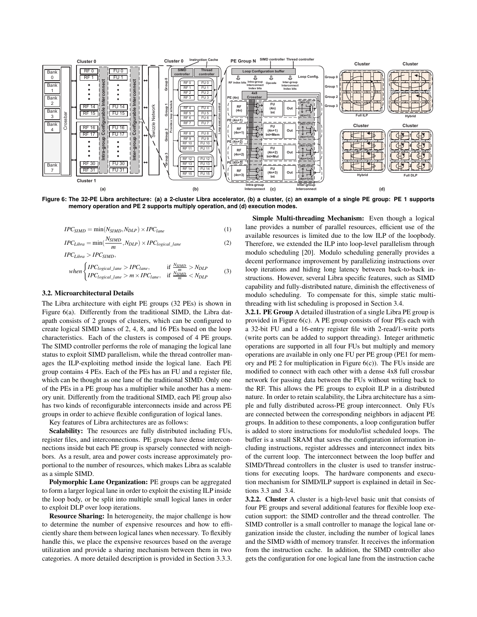

**Figure 6: The 32-PE Libra architecture: (a) a 2-cluster Libra accelerator, (b) a cluster, (c) an example of a single PE group: PE 1 supports memory operation and PE 2 supports multiply operation, and (d) execution modes.**

$$
IPC_{SIMD} = \min(N_{SIMD}, N_{DLP}) \times IPC_{lane}
$$
 (1)

$$
IPC_{Libra} = \min(\frac{N_{SIMD}}{m}, N_{DLP}) \times IPC_{logical\_lane}
$$
 (2)

$$
IPC_{Libra} > IPC_{SIMD},
$$

$$
when \begin{cases} IPC_{logical\_lane} > IPC_{lane}, \\ IPC_{logical\_lane} > m \times IPC_{lane}, \\ IPC_{logical\_lane} > m \times IPC_{lane}, \end{cases} \quad \text{if } \frac{N_{SIMD}}{m} < N_{DLP} \tag{3}
$$

#### **3.2. Microarchitectural Details**

The Libra architecture with eight PE groups (32 PEs) is shown in Figure 6(a). Differently from the traditional SIMD, the Libra datapath consists of 2 groups of clusters, which can be configured to create logical SIMD lanes of 2, 4, 8, and 16 PEs based on the loop characteristics. Each of the clusters is composed of 4 PE groups. The SIMD controller performs the role of managing the logical lane status to exploit SIMD parallelism, while the thread controller manages the ILP-exploiting method inside the logical lane. Each PE group contains 4 PEs. Each of the PEs has an FU and a register file, which can be thought as one lane of the traditional SIMD. Only one of the PEs in a PE group has a multiplier while another has a memory unit. Differently from the traditional SIMD, each PE group also has two kinds of reconfigurable interconnects inside and across PE groups in order to achieve flexible configuration of logical lanes.

Key features of Libra architectures are as follows:

**Scalability:** The resources are fully distributed including FUs, register files, and interconnections. PE groups have dense interconnections inside but each PE group is sparsely connected with neighbors. As a result, area and power costs increase approximately proportional to the number of resources, which makes Libra as scalable as a simple SIMD.

**Polymorphic Lane Organization:** PE groups can be aggregated to form a larger logical lane in order to exploit the existing ILP inside the loop body, or be split into multiple small logical lanes in order to exploit DLP over loop iterations.

**Resource Sharing:** In heterogeneity, the major challenge is how to determine the number of expensive resources and how to efficiently share them between logical lanes when necessary. To flexibly handle this, we place the expensive resources based on the average utilization and provide a sharing mechanism between them in two categories. A more detailed description is provided in Section 3.3.3.

**Simple Multi-threading Mechanism:** Even though a logical lane provides a number of parallel resources, efficient use of the available resources is limited due to the low ILP of the loopbody. Therefore, we extended the ILP into loop-level parallelism through modulo scheduling [20]. Modulo scheduling generally provides a decent performance improvement by parallelizing instructions over loop iterations and hiding long latency between back-to-back instructions. However, several Libra specific features, such as SIMD capability and fully-distributed nature, diminish the effectiveness of modulo scheduling. To compensate for this, simple static multithreading with list scheduling is proposed in Section 3.4.

**3.2.1. PE Group** A detailed illustration of a single Libra PE group is provided in Figure 6(c). A PE group consists of four PEs each with a 32-bit FU and a 16-entry register file with 2-read/1-write ports (write ports can be added to support threading). Integer arithmetic operations are supported in all four FUs but multiply and memory operations are available in only one FU per PE group (PE1 for memory and PE 2 for multiplication in Figure  $6(c)$ ). The FUs inside are modified to connect with each other with a dense 4x8 full crossbar network for passing data between the FUs without writing back to the RF. This allows the PE groups to exploit ILP in a distributed nature. In order to retain scalability, the Libra architecture has a simple and fully distributed across-PE group interconnect. Only FUs are connected between the corresponding neighbors in adjacent PE groups. In addition to these components, a loop configuration buffer is added to store instructions for modulo/list scheduled loops. The buffer is a small SRAM that saves the configuration information including instructions, register addresses and interconnect index bits of the current loop. The interconnect between the loop buffer and SIMD/Thread controllers in the cluster is used to transfer instructions for executing loops. The hardware components and execution mechanism for SIMD/ILP support is explained in detail in Sections 3.3 and 3.4.

**3.2.2. Cluster** A cluster is a high-level basic unit that consists of four PE groups and several additional features for flexible loop execution support: the SIMD controller and the thread controller. The SIMD controller is a small controller to manage the logical lane organization inside the cluster, including the number of logical lanes and the SIMD width of memory transfer. It receives the information from the instruction cache. In addition, the SIMD controller also gets the configuration for one logical lane from the instruction cache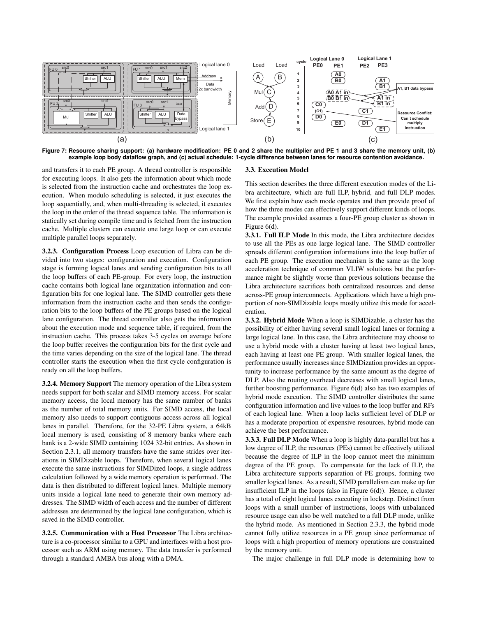

**Figure 7: Resource sharing support: (a) hardware modification: PE 0 and 2 share the multiplier and PE 1 and 3 share the memory unit, (b) example loop body dataflow graph, and (c) actual schedule: 1-cycle difference between lanes for resource contention avoidance.**

and transfers it to each PE group. A thread controller is responsible for executing loops. It also gets the information about which mode is selected from the instruction cache and orchestrates the loop execution. When modulo scheduling is selected, it just executes the loop sequentially, and, when multi-threading is selected, it executes the loop in the order of the thread sequence table. The information is statically set during compile time and is fetched from the instruction cache. Multiple clusters can execute one large loop or can execute multiple parallel loops separately.

**3.2.3. Configuration Process** Loop execution of Libra can be divided into two stages: configuration and execution. Configuration stage is forming logical lanes and sending configuration bits to all the loop buffers of each PE-group. For every loop, the instruction cache contains both logical lane organization information and configuration bits for one logical lane. The SIMD controller gets these information from the instruction cache and then sends the configuration bits to the loop buffers of the PE groups based on the logical lane configuration. The thread controller also gets the information about the execution mode and sequence table, if required, from the instruction cache. This process takes 3-5 cycles on average before the loop buffer receives the configuration bits for the first cycle and the time varies depending on the size of the logical lane. The thread controller starts the execution when the first cycle configuration is ready on all the loop buffers.

**3.2.4. Memory Support** The memory operation of the Libra system needs support for both scalar and SIMD memory access. For scalar memory access, the local memory has the same number of banks as the number of total memory units. For SIMD access, the local memory also needs to support contiguous access across all logical lanes in parallel. Therefore, for the 32-PE Libra system, a 64kB local memory is used, consisting of 8 memory banks where each bank is a 2-wide SIMD containing 1024 32-bit entries. As shown in Section 2.3.1, all memory transfers have the same strides over iterations in SIMDizable loops. Therefore, when several logical lanes execute the same instructions for SIMDized loops, a single address calculation followed by a wide memory operation is performed. The data is then distributed to different logical lanes. Multiple memory units inside a logical lane need to generate their own memory addresses. The SIMD width of each access and the number of different addresses are determined by the logical lane configuration, which is saved in the SIMD controller.

**3.2.5. Communication with a Host Processor** The Libra architecture is a co-processor similar to a GPU and interfaces with a host processor such as ARM using memory. The data transfer is performed through a standard AMBA bus along with a DMA.

#### **3.3. Execution Model**

This section describes the three different execution modes of the Libra architecture, which are full ILP, hybrid, and full DLP modes. We first explain how each mode operates and then provide proof of how the three modes can effectively support different kinds of loops. The example provided assumes a four-PE group cluster as shown in Figure 6(d).

**3.3.1. Full ILP Mode** In this mode, the Libra architecture decides to use all the PEs as one large logical lane. The SIMD controller spreads different configuration informations into the loop buffer of each PE group. The execution mechanism is the same as the loop acceleration technique of common VLIW solutions but the performance might be slightly worse than previous solutions because the Libra architecture sacrifices both centralized resources and dense across-PE group interconnects. Applications which have a high proportion of non-SIMDizable loops mostly utilize this mode for acceleration.

**3.3.2. Hybrid Mode** When a loop is SIMDizable, a cluster has the possibility of either having several small logical lanes or forming a large logical lane. In this case, the Libra architecture may choose to use a hybrid mode with a cluster having at least two logical lanes, each having at least one PE group. With smaller logical lanes, the performance usually increases since SIMDization provides an opportunity to increase performance by the same amount as the degree of DLP. Also the routing overhead decreases with small logical lanes, further boosting performance. Figure 6(d) also has two examples of hybrid mode execution. The SIMD controller distributes the same configuration information and live values to the loop buffer and RFs of each logical lane. When a loop lacks sufficient level of DLP or has a moderate proportion of expensive resources, hybrid mode can achieve the best performance.

**3.3.3. Full DLP Mode** When a loop is highly data-parallel but has a low degree of ILP, the resources (PEs) cannot be effectively utilized because the degree of ILP in the loop cannot meet the minimum degree of the PE group. To compensate for the lack of ILP, the Libra architecture supports separation of PE groups, forming two smaller logical lanes. As a result, SIMD parallelism can make up for insufficient ILP in the loops (also in Figure 6(d)). Hence, a cluster has a total of eight logical lanes executing in lockstep. Distinct from loops with a small number of instructions, loops with unbalanced resource usage can also be well matched to a full DLP mode, unlike the hybrid mode. As mentioned in Section 2.3.3, the hybrid mode cannot fully utilize resources in a PE group since performance of loops with a high proportion of memory operations are constrained by the memory unit.

The major challenge in full DLP mode is determining how to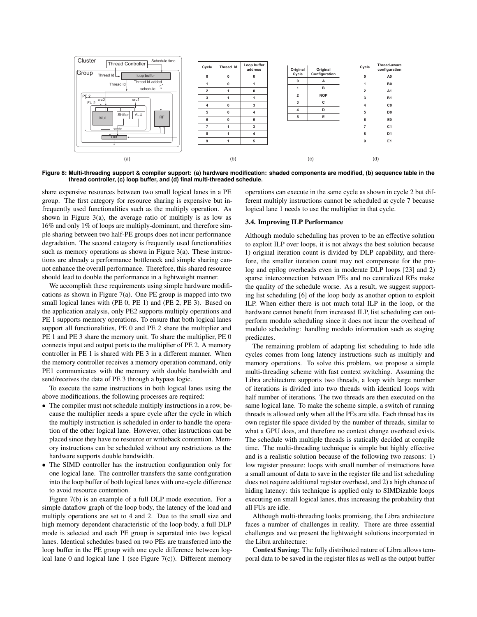

**Figure 8: Multi-threading support & compiler support: (a) hardware modification: shaded components are modified, (b) sequence table in the thread controller, (c) loop buffer, and (d) final multi-threaded schedule.**

share expensive resources between two small logical lanes in a PE group. The first category for resource sharing is expensive but infrequently used functionalities such as the multiply operation. As shown in Figure 3(a), the average ratio of multiply is as low as 16% and only 1% of loops are multiply-dominant, and therefore simple sharing between two half-PE groups does not incur performance degradation. The second category is frequently used functionalities such as memory operations as shown in Figure 3(a). These instructions are already a performance bottleneck and simple sharing cannot enhance the overall performance. Therefore, this shared resource should lead to double the performance in a lightweight manner.

We accomplish these requirements using simple hardware modifications as shown in Figure 7(a). One PE group is mapped into two small logical lanes with (PE 0, PE 1) and (PE 2, PE 3). Based on the application analysis, only PE2 supports multiply operations and PE 1 supports memory operations. To ensure that both logical lanes support all functionalities, PE 0 and PE 2 share the multiplier and PE 1 and PE 3 share the memory unit. To share the multiplier, PE 0 connects input and output ports to the multiplier of PE 2. A memory controller in PE 1 is shared with PE 3 in a different manner. When the memory controller receives a memory operation command, only PE1 communicates with the memory with double bandwidth and send/receives the data of PE 3 through a bypass logic.

To execute the same instructions in both logical lanes using the above modifications, the following processes are required:

- The compiler must not schedule multiply instructions in a row, because the multiplier needs a spare cycle after the cycle in which the multiply instruction is scheduled in order to handle the operation of the other logical lane. However, other instructions can be placed since they have no resource or writeback contention. Memory instructions can be scheduled without any restrictions as the hardware supports double bandwidth.
- The SIMD controller has the instruction configuration only for one logical lane. The controller transfers the same configuration into the loop buffer of both logical lanes with one-cycle difference to avoid resource contention.

Figure 7(b) is an example of a full DLP mode execution. For a simple dataflow graph of the loop body, the latency of the load and multiply operations are set to 4 and 2. Due to the small size and high memory dependent characteristic of the loop body, a full DLP mode is selected and each PE group is separated into two logical lanes. Identical schedules based on two PEs are transferred into the loop buffer in the PE group with one cycle difference between logical lane 0 and logical lane 1 (see Figure 7(c)). Different memory operations can execute in the same cycle as shown in cycle 2 but different multiply instructions cannot be scheduled at cycle 7 because logical lane 1 needs to use the multiplier in that cycle.

# **3.4. Improving ILP Performance**

Although modulo scheduling has proven to be an effective solution to exploit ILP over loops, it is not always the best solution because 1) original iteration count is divided by DLP capability, and therefore, the smaller iteration count may not compensate for the prolog and epilog overheads even in moderate DLP loops [23] and 2) sparse interconnection between PEs and no centralized RFs make the quality of the schedule worse. As a result, we suggest supporting list scheduling [6] of the loop body as another option to exploit ILP. When either there is not much total ILP in the loop, or the hardware cannot benefit from increased ILP, list scheduling can outperform modulo scheduling since it does not incur the overhead of modulo scheduling: handling modulo information such as staging predicates.

The remaining problem of adapting list scheduling to hide idle cycles comes from long latency instructions such as multiply and memory operations. To solve this problem, we propose a simple multi-threading scheme with fast context switching. Assuming the Libra architecture supports two threads, a loop with large number of iterations is divided into two threads with identical loops with half number of iterations. The two threads are then executed on the same logical lane. To make the scheme simple, a switch of running threads is allowed only when all the PEs are idle. Each thread has its own register file space divided by the number of threads, similar to what a GPU does, and therefore no context change overhead exists. The schedule with multiple threads is statically decided at compile time. The multi-threading technique is simple but highly effective and is a realistic solution because of the following two reasons: 1) low register pressure: loops with small number of instructions have a small amount of data to save in the register file and list scheduling does not require additional register overhead, and 2) a high chance of hiding latency: this technique is applied only to SIMDizable loops executing on small logical lanes, thus increasing the probability that all FUs are idle.

Although multi-threading looks promising, the Libra architecture faces a number of challenges in reality. There are three essential challenges and we present the lightweight solutions incorporated in the Libra architecture:

**Context Saving:** The fully distributed nature of Libra allows temporal data to be saved in the register files as well as the output buffer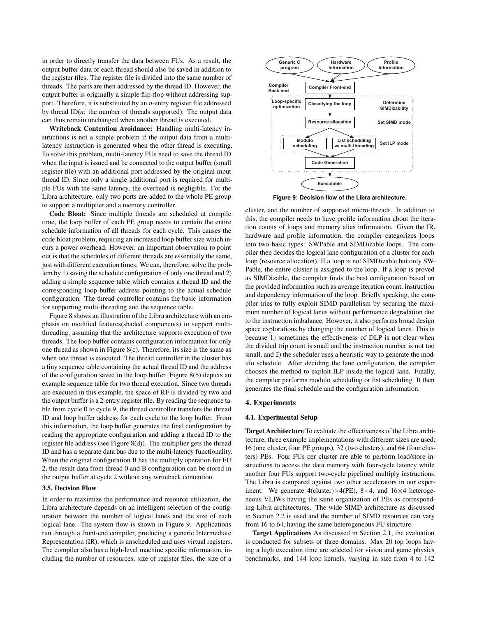in order to directly transfer the data between FUs. As a result, the output buffer data of each thread should also be saved in addition to the register files. The register file is divided into the same number of threads. The parts are then addressed by the thread ID. However, the output buffer is originally a simple flip-flop without addressing support. Therefore, it is substituted by an *n*-entry register file addressed by thread ID(*n*: the number of threads supported). The output data can thus remain unchanged when another thread is executed.

**Writeback Contention Avoidance:** Handling multi-latency instructions is not a simple problem if the output data from a multilatency instruction is generated when the other thread is executing. To solve this problem, multi-latency FUs need to save the thread ID when the input is issued and be connected to the output buffer (small register file) with an additional port addressed by the original input thread ID. Since only a single additional port is required for multiple FUs with the same latency, the overhead is negligible. For the Libra architecture, only two ports are added to the whole PE group to support a multiplier and a memory controller.

**Code Bloat:** Since multiple threads are scheduled at compile time, the loop buffer of each PE group needs to contain the entire schedule information of all threads for each cycle. This causes the code bloat problem, requiring an increased loop buffer size which incurs a power overhead. However, an important observation to point out is that the schedules of different threads are essentially the same, just with different execution times. We can, therefore, solve the problem by 1) saving the schedule configuration of only one thread and 2) adding a simple sequence table which contains a thread ID and the corresponding loop buffer address pointing to the actual schedule configuration. The thread controller contains the basic information for supporting multi-threading and the sequence table.

Figure 8 shows an illustration of the Libra architecture with an emphasis on modified features(shaded components) to support multithreading, assuming that the architecture supports execution of two threads. The loop buffer contains configuration information for only one thread as shown in Figure 8(c). Therefore, its size is the same as when one thread is executed. The thread controller in the cluster has a tiny sequence table containing the actual thread ID and the address of the configuration saved in the loop buffer. Figure 8(b) depicts an example sequence table for two thread execution. Since two threads are executed in this example, the space of RF is divided by two and the output buffer is a 2-entry register file. By reading the sequence table from cycle 0 to cycle 9, the thread controller transfers the thread ID and loop buffer address for each cycle to the loop buffer. From this information, the loop buffer generates the final configuration by reading the appropriate configuration and adding a thread ID to the register file address (see Figure 8(d)). The multiplier gets the thread ID and has a separate data bus due to the multi-latency functionality. When the original configuration B has the multiply operation for FU 2, the result data from thread 0 and B configuration can be stored in the output buffer at cycle 2 without any writeback contention.

# **3.5. Decision Flow**

In order to maximize the performance and resource utilization, the Libra architecture depends on an intelligent selection of the configuration between the number of logical lanes and the size of each logical lane. The system flow is shown in Figure 9. Applications run through a front-end compiler, producing a generic Intermediate Representation (IR), which is unscheduled and uses virtual registers. The compiler also has a high-level machine specific information, including the number of resources, size of register files, the size of a



**Figure 9: Decision flow of the Libra architecture.**

cluster, and the number of supported micro-threads. In addition to this, the compiler needs to have profile information about the iteration counts of loops and memory alias information. Given the IR, hardware and profile information, the compiler categorizes loops into two basic types: SWPable and SIMDizable loops. The compiler then decides the logical lane configuration of a cluster for each loop (resource allocation). If a loop is not SIMDizable but only SW-Pable, the entire cluster is assigned to the loop. If a loop is proved as SIMDizable, the compiler finds the best configuration based on the provided information such as average iteration count, instruction and dependency information of the loop. Briefly speaking, the compiler tries to fully exploit SIMD parallelism by securing the maximum number of logical lanes without performance degradation due to the instruction imbalance. However, it also performs broad design space explorations by changing the number of logical lanes. This is because 1) sometimes the effectiveness of DLP is not clear when the divided trip count is small and the instruction number is not too small, and 2) the scheduler uses a heuristic way to generate the modulo schedule. After deciding the lane configuration, the compiler chooses the method to exploit ILP inside the logical lane. Finally, the compiler performs modulo scheduling or list scheduling. It then generates the final schedule and the configuration information.

#### **4. Experiments**

### **4.1. Experimental Setup**

**Target Architecture** To evaluate the effectiveness of the Libra architecture, three example implementations with different sizes are used: 16 (one cluster, four PE groups), 32 (two clusters), and 64 (four clusters) PEs. Four FUs per cluster are able to perform load/store instructions to access the data memory with four-cycle latency while another four FUs support two-cycle pipelined multiply instructions. The Libra is compared against two other accelerators in our experiment. We generate 4(cluster) $\times$ 4(PE), 8 $\times$ 4, and 16 $\times$ 4 heterogeneous VLIWs having the same organization of PEs as corresponding Libra architectures. The wide SIMD architecture as discussed in Section 2.2 is used and the number of SIMD resources can vary from 16 to 64, having the same heterogeneous FU structure.

**Target Applications** As discussed in Section 2.1, the evaluation is conducted for subsets of three domains. Max 20 top loops having a high execution time are selected for vision and game physics benchmarks, and 144 loop kernels, varying in size from 4 to 142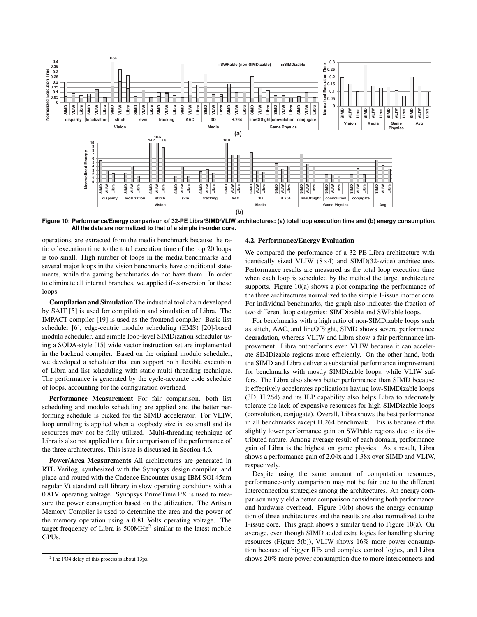

**Figure 10: Performance/Energy comparison of 32-PE Libra/SIMD/VLIW architectures: (a) total loop execution time and (b) energy consumption. All the data are normalized to that of a simple in-order core.**

operations, are extracted from the media benchmark because the ratio of execution time to the total execution time of the top 20 loops is too small. High number of loops in the media benchmarks and several major loops in the vision benchmarks have conditional statements, while the gaming benchmarks do not have them. In order to eliminate all internal branches, we applied if-conversion for these loops.

**Compilation and Simulation** The industrial tool chain developed by SAIT [5] is used for compilation and simulation of Libra. The IMPACT compiler [19] is used as the frontend compiler. Basic list scheduler [6], edge-centric modulo scheduling (EMS) [20]-based modulo scheduler, and simple loop-level SIMDization scheduler using a SODA-style [15] wide vector instruction set are implemented in the backend compiler. Based on the original modulo scheduler, we developed a scheduler that can support both flexible execution of Libra and list scheduling with static multi-threading technique. The performance is generated by the cycle-accurate code schedule of loops, accounting for the configuration overhead.

**Performance Measurement** For fair comparison, both list scheduling and modulo scheduling are applied and the better performing schedule is picked for the SIMD accelerator. For VLIW, loop unrolling is applied when a loopbody size is too small and its resources may not be fully utilized. Multi-threading technique of Libra is also not applied for a fair comparison of the performance of the three architectures. This issue is discussed in Section 4.6.

**Power/Area Measurements** All architectures are generated in RTL Verilog, synthesized with the Synopsys design compiler, and place-and-routed with the Cadence Encounter using IBM SOI 45nm regular Vt standard cell library in slow operating conditions with a 0.81V operating voltage. Synopsys PrimeTime PX is used to measure the power consumption based on the utilization. The Artisan Memory Compiler is used to determine the area and the power of the memory operation using a 0.81 Volts operating voltage. The target frequency of Libra is  $500MHz<sup>2</sup>$  similar to the latest mobile GPUs.

#### **4.2. Performance/Energy Evaluation**

We compared the performance of a 32-PE Libra architecture with identically sized VLIW  $(8\times4)$  and SIMD(32-wide) architectures. Performance results are measured as the total loop execution time when each loop is scheduled by the method the target architecture supports. Figure 10(a) shows a plot comparing the performance of the three architectures normalized to the simple 1-issue inorder core. For individual benchmarks, the graph also indicates the fraction of two different loop categories: SIMDizable and SWPable loops.

For benchmarks with a high ratio of non-SIMDizable loops such as stitch, AAC, and lineOfSight, SIMD shows severe performance degradation, whereas VLIW and Libra show a fair performance improvement. Libra outperforms even VLIW because it can accelerate SIMDizable regions more efficiently. On the other hand, both the SIMD and Libra deliver a substantial performance improvement for benchmarks with mostly SIMDizable loops, while VLIW suffers. The Libra also shows better performance than SIMD because it effectively accelerates applications having low-SIMDizable loops (3D, H.264) and its ILP capability also helps Libra to adequately tolerate the lack of expensive resources for high-SIMDizable loops (convolution, conjugate). Overall, Libra shows the best performance in all benchmarks except H.264 benchmark. This is because of the slightly lower performance gain on SWPable regions due to its distributed nature. Among average result of each domain, performance gain of Libra is the highest on game physics. As a result, Libra shows a performance gain of 2.04x and 1.38x over SIMD and VLIW, respectively.

Despite using the same amount of computation resources, performance-only comparison may not be fair due to the different interconnection strategies among the architectures. An energy comparison may yield a better comparison considering both performance and hardware overhead. Figure 10(b) shows the energy consumption of three architectures and the results are also normalized to the 1-issue core. This graph shows a similar trend to Figure 10(a). On average, even though SIMD added extra logics for handling sharing resources (Figure 5(b)), VLIW shows 16% more power consumption because of bigger RFs and complex control logics, and Libra shows 20% more power consumption due to more interconnects and

<sup>&</sup>lt;sup>2</sup>The FO4 delay of this process is about 13ps.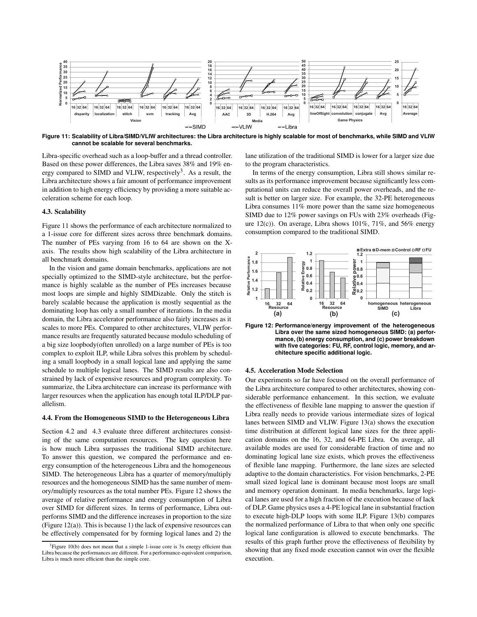

**Figure 11: Scalability of Libra/SIMD/VLIW architectures: the Libra architecture is highly scalable for most of benchmarks, while SIMD and VLIW cannot be scalable for several benchmarks.**

Libra-specific overhead such as a loop-buffer and a thread controller. Based on these power differences, the Libra saves 38% and 19% energy compared to SIMD and VLIW, respectively<sup>3</sup>. As a result, the Libra architecture shows a fair amount of performance improvement in addition to high energy efficiency by providing a more suitable acceleration scheme for each loop.

### **4.3. Scalability**

Figure 11 shows the performance of each architecture normalized to a 1-issue core for different sizes across three benchmark domains. The number of PEs varying from 16 to 64 are shown on the Xaxis. The results show high scalability of the Libra architecture in all benchmark domains.

In the vision and game domain benchmarks, applications are not specially optimized to the SIMD-style architecture, but the performance is highly scalable as the number of PEs increases because most loops are simple and highly SIMDizable. Only the stitch is barely scalable because the application is mostly sequential as the dominating loop has only a small number of iterations. In the media domain, the Libra accelerator performance also fairly increases as it scales to more PEs. Compared to other architectures, VLIW performance results are frequently saturated because modulo scheduling of a big size loopbody(often unrolled) on a large number of PEs is too complex to exploit ILP, while Libra solves this problem by scheduling a small loopbody in a small logical lane and applying the same schedule to multiple logical lanes. The SIMD results are also constrained by lack of expensive resources and program complexity. To summarize, the Libra architecture can increase its performance with larger resources when the application has enough total ILP/DLP parallelism.

### **4.4. From the Homogeneous SIMD to the Heterogeneous Libra**

Section 4.2 and 4.3 evaluate three different architectures consisting of the same computation resources. The key question here is how much Libra surpasses the traditional SIMD architecture. To answer this question, we compared the performance and energy consumption of the heterogeneous Libra and the homogeneous SIMD. The heterogeneous Libra has a quarter of memory/multiply resources and the homogeneous SIMD has the same number of memory/multiply resources as the total number PEs. Figure 12 shows the average of relative performance and energy consumption of Libra over SIMD for different sizes. In terms of performance, Libra outperforms SIMD and the difference increases in proportion to the size (Figure 12(a)). This is because 1) the lack of expensive resources can be effectively compensated for by forming logical lanes and 2) the

lane utilization of the traditional SIMD is lower for a larger size due to the program characteristics.

In terms of the energy consumption, Libra still shows similar results as its performance improvement because significantly less computational units can reduce the overall power overheads, and the result is better on larger size. For example, the 32-PE heterogeneous Libra consumes 11% more power than the same size homogeneous SIMD due to 12% power savings on FUs with 23% overheads (Figure 12(c)). On average, Libra shows  $101\%$ ,  $71\%$ , and  $56\%$  energy consumption compared to the traditional SIMD.



**Figure 12: Performance/energy improvement of the heterogeneous Libra over the same sized homogeneous SIMD: (a) performance, (b) energy consumption, and (c) power breakdown with five categories: FU, RF, control logic, memory, and architecture specific additional logic.**

### **4.5. Acceleration Mode Selection**

Our experiments so far have focused on the overall performance of the Libra architecture compared to other architectures, showing considerable performance enhancement. In this section, we evaluate the effectiveness of flexible lane mapping to answer the question if Libra really needs to provide various intermediate sizes of logical lanes between SIMD and VLIW. Figure 13(a) shows the execution time distribution at different logical lane sizes for the three application domains on the 16, 32, and 64-PE Libra. On average, all available modes are used for considerable fraction of time and no dominating logical lane size exists, which proves the effectiveness of flexible lane mapping. Furthermore, the lane sizes are selected adaptive to the domain characteristics. For vision benchmarks, 2-PE small sized logical lane is dominant because most loops are small and memory operation dominant. In media benchmarks, large logical lanes are used for a high fraction of the execution because of lack of DLP. Game physics uses a 4-PE logical lane in substantial fraction to execute high-DLP loops with some ILP. Figure 13(b) compares the normalized performance of Libra to that when only one specific logical lane configuration is allowed to execute benchmarks. The results of this graph further prove the effectiveness of flexibility by showing that any fixed mode execution cannot win over the flexible execution.

 $3$ Figure 10(b) does not mean that a simple 1-issue core is  $3x$  energy efficient than Libra because the performances are different. For a performance-equivalent comparison, Libra is much more efficient than the simple core.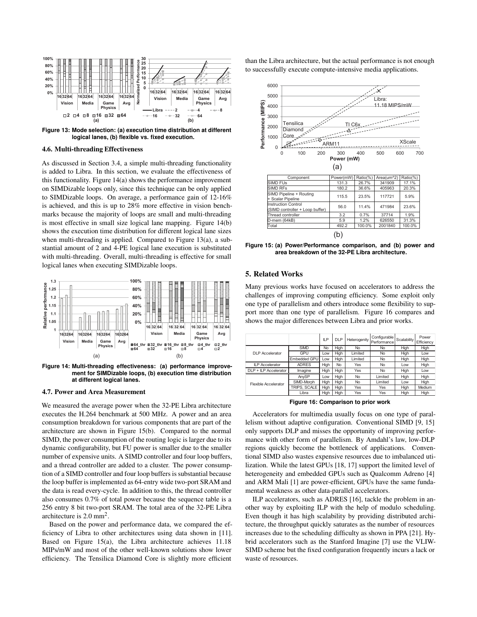

**Figure 13: Mode selection: (a) execution time distribution at different logical lanes, (b) flexible vs. fixed execution.**

### **4.6. Multi-threading Effectiveness**

As discussed in Section 3.4, a simple multi-threading functionality is added to Libra. In this section, we evaluate the effectiveness of this functionality. Figure 14(a) shows the performance improvement on SIMDizable loops only, since this technique can be only applied to SIMDizable loops. On average, a performance gain of 12-16% is achieved, and this is up to 28% more effective in vision benchmarks because the majority of loops are small and multi-threading is most effective in small size logical lane mapping. Figure 14(b) shows the execution time distribution for different logical lane sizes when multi-threading is applied. Compared to Figure 13(a), a substantial amount of 2 and 4-PE logical lane execution is substituted with multi-threading. Overall, multi-threading is effective for small logical lanes when executing SIMDizable loops.



**Figure 14: Multi-threading effectiveness: (a) performance improvement for SIMDizable loops, (b) execution time distribution at different logical lanes.**

#### **4.7. Power and Area Measurement**

We measured the average power when the 32-PE Libra architecture executes the H.264 benchmark at 500 MHz. A power and an area consumption breakdown for various components that are part of the architecture are shown in Figure 15(b). Compared to the normal SIMD, the power consumption of the routing logic is larger due to its dynamic configurability, but FU power is smaller due to the smaller number of expensive units. A SIMD controller and four loop buffers, and a thread controller are added to a cluster. The power consumption of a SIMD controller and four loop buffers is substantial because the loop buffer is implemented as 64-entry wide two-port SRAM and the data is read every-cycle. In addition to this, the thread controller also consumes 0.7% of total power because the sequence table is a 256 entry 8 bit two-port SRAM. The total area of the 32-PE Libra architecture is 2.0 mm<sup>2</sup> .

Based on the power and performance data, we compared the efficiency of Libra to other architectures using data shown in [11]. Based on Figure 15(a), the Libra architecture achieves 11.18 MIPs/mW and most of the other well-known solutions show lower efficiency. The Tensilica Diamond Core is slightly more efficient

than the Libra architecture, but the actual performance is not enough to successfully execute compute-intensive media applications.



**Figure 15: (a) Power/Performance comparison, and (b) power and area breakdown of the 32-PE Libra architecture.**

## **5. Related Works**

Many previous works have focused on accelerators to address the challenges of improving computing efficiency. Some exploit only one type of parallelism and others introduce some flexibility to support more than one type of parallelism. Figure 16 compares and shows the major differences between Libra and prior works.

|                             |              | ILP  | <b>DLP</b> | Heterogenity | Configurable<br>Performance | Scalability | Power<br>Efficiency |
|-----------------------------|--------------|------|------------|--------------|-----------------------------|-------------|---------------------|
| <b>DLP</b> Accelerator      | <b>SIMD</b>  | No   | High       | No           | No                          | High        | High                |
|                             | GPU          | Low  | High       | Limited      | No                          | High        | Low                 |
|                             | Embedded GPU | Low  | High       | Limited      | No                          | High        | High                |
| <b>ILP Accelerator</b>      | <b>ADRES</b> | High | No         | Yes          | No                          | Low         | High                |
| DLP + ILP Accelerator       | Imagine      | High | High       | Yes          | No                          | High        | Low                 |
| <b>Flexible Accelerator</b> | AnySP        | Low  | High       | <b>No</b>    | Limited                     | High        | High                |
|                             | SIMD-Morph   | High | High       | No           | Limited                     | Low         | High                |
|                             | TRIPS. SCALE | High | High       | Yes          | Yes                         | High        | Medium              |
|                             | Libra        | High | High       | Yes          | Yes                         | High        | High                |

**Figure 16: Comparison to prior work**

Accelerators for multimedia usually focus on one type of parallelism without adaptive configuration. Conventional SIMD [9, 15] only supports DLP and misses the opportunity of improving performance with other form of parallelism. By Amdahl's law, low-DLP regions quickly become the bottleneck of applications. Conventional SIMD also wastes expensive resources due to imbalanced utilization. While the latest GPUs [18, 17] support the limited level of heterogeneity and embedded GPUs such as Qualcomm Adreno [4] and ARM Mali [1] are power-efficient, GPUs have the same fundamental weakness as other data-parallel accelerators.

ILP accelerators, such as ADRES [16], tackle the problem in another way by exploiting ILP with the help of modulo scheduling. Even though it has high scalability by providing distributed architecture, the throughput quickly saturates as the number of resources increases due to the scheduling difficulty as shown in PPA [21]. Hybrid accelerators such as the Stanford Imagine [7] use the VLIW-SIMD scheme but the fixed configuration frequently incurs a lack or waste of resources.